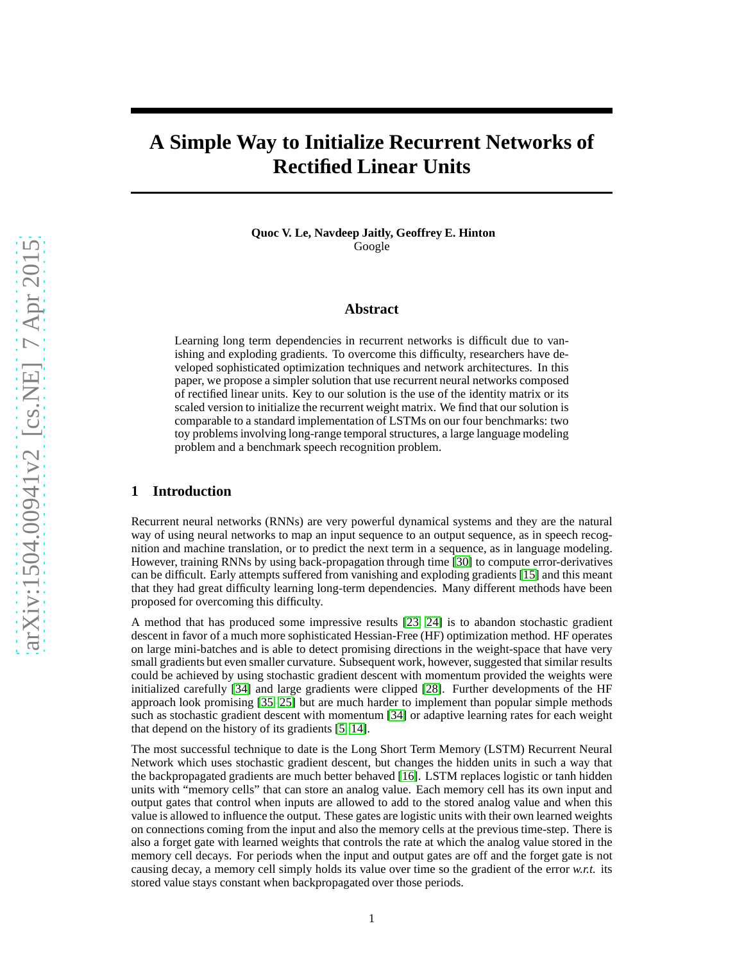# **A Simple Way to Initialize Recurrent Networks of Rectified Linear Units**

**Quoc V. Le, Navdeep Jaitly, Geoffrey E. Hinton** Google

#### **Abstract**

Learning long term dependencies in recurrent networks is difficult due to vanishing and exploding gradients. To overcome this difficulty, researchers have developed sophisticated optimization techniques and network architectures. In this paper, we propose a simpler solution that use recurrent neural networks composed of rectified linear units. Key to our solution is the use of the identity matrix or its scaled version to initialize the recurrent weight matrix. We find that our solution is comparable to a standard implementation of LSTMs on our four benchmarks: two toy problems involving long-range temporal structures, a large language modeling problem and a benchmark speech recognition problem.

#### **1 Introduction**

Recurrent neural networks (RNNs) are very powerful dynamical systems and they are the natural way of using neural networks to map an input sequence to an output sequence, as in speech recognition and machine translation, or to predict the next term in a sequence, as in language modeling. However, training RNNs by using back-propagation through time [\[30\]](#page-7-0) to compute error-derivatives can be difficult. Early attempts suffered from vanishing and exploding gradients [\[15\]](#page-7-1) and this meant that they had great difficulty learning long-term dependencies. Many different methods have been proposed for overcoming this difficulty.

A method that has produced some impressive results [\[23,](#page-7-2) [24\]](#page-7-3) is to abandon stochastic gradient descent in favor of a much more sophisticated Hessian-Free (HF) optimization method. HF operates on large mini-batches and is able to detect promising directions in the weight-space that have very small gradients but even smaller curvature. Subsequent work, however, suggested that similar results could be achieved by using stochastic gradient descent with momentum provided the weights were initialized carefully [\[34\]](#page-7-4) and large gradients were clipped [\[28\]](#page-7-5). Further developments of the HF approach look promising [\[35,](#page-8-0) [25\]](#page-7-6) but are much harder to implement than popular simple methods such as stochastic gradient descent with momentum [\[34\]](#page-7-4) or adaptive learning rates for each weight that depend on the history of its gradients [\[5,](#page-6-0) [14\]](#page-7-7).

The most successful technique to date is the Long Short Term Memory (LSTM) Recurrent Neural Network which uses stochastic gradient descent, but changes the hidden units in such a way that the backpropagated gradients are much better behaved [\[16\]](#page-7-8). LSTM replaces logistic or tanh hidden units with "memory cells" that can store an analog value. Each memory cell has its own input and output gates that control when inputs are allowed to add to the stored analog value and when this value is allowed to influence the output. These gates are logistic units with their own learned weights on connections coming from the input and also the memory cells at the previous time-step. There is also a forget gate with learned weights that controls the rate at which the analog value stored in the memory cell decays. For periods when the input and output gates are off and the forget gate is not causing decay, a memory cell simply holds its value over time so the gradient of the error  $w.r.t.$  its stored value stays constant when backpropagated over those periods.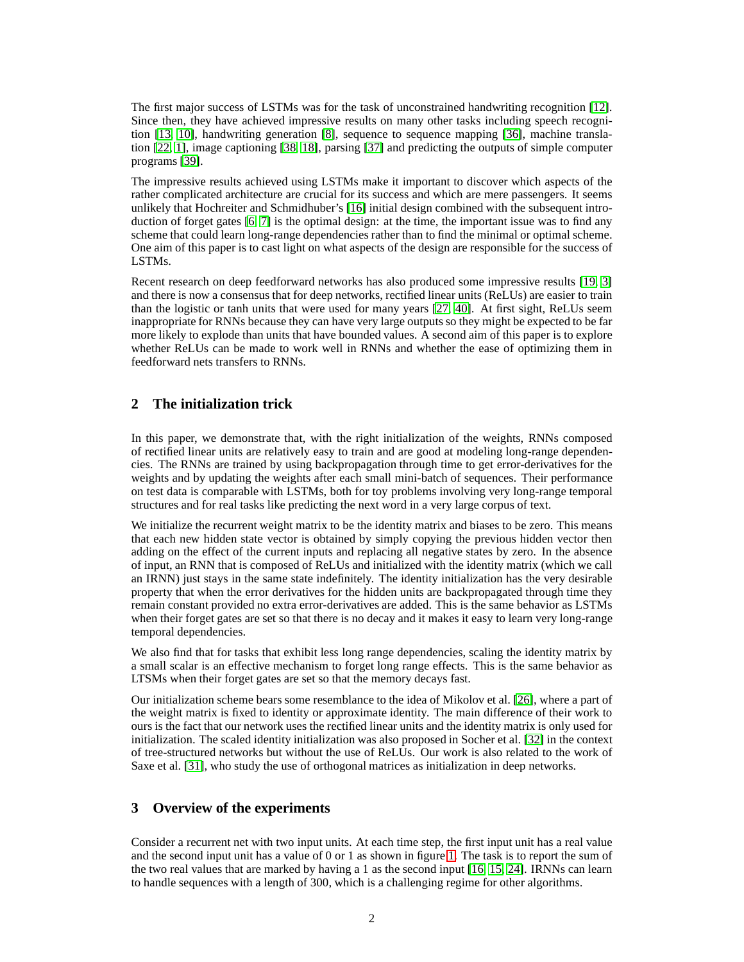The first major success of LSTMs was for the task of unconstrained handwriting recognition [\[12\]](#page-7-9). Since then, they have achieved impressive results on many other tasks including speech recognition [\[13,](#page-7-10) [10\]](#page-6-1), handwriting generation [\[8\]](#page-6-2), sequence to sequence mapping [\[36\]](#page-8-1), machine translation [\[22,](#page-7-11) [1\]](#page-6-3), image captioning [\[38,](#page-8-2) [18\]](#page-7-12), parsing [\[37\]](#page-8-3) and predicting the outputs of simple computer programs [\[39\]](#page-8-4).

The impressive results achieved using LSTMs make it important to discover which aspects of the rather complicated architecture are crucial for its success and which are mere passengers. It seems unlikely that Hochreiter and Schmidhuber's [\[16\]](#page-7-8) initial design combined with the subsequent introduction of forget gates [\[6,](#page-6-4) [7\]](#page-6-5) is the optimal design: at the time, the important issue was to find any scheme that could learn long-range dependencies rather than to find the minimal or optimal scheme. One aim of this paper is to cast light on what aspects of the design are responsible for the success of LSTMs.

Recent research on deep feedforward networks has also produced some impressive results [\[19,](#page-7-13) [3\]](#page-6-6) and there is now a consensus that for deep networks, rectified linear units (ReLUs) are easier to train than the logistic or tanh units that were used for many years [\[27,](#page-7-14) [40\]](#page-8-5). At first sight, ReLUs seem inappropriate for RNNs because they can have very large outputs so they might be expected to be far more likely to explode than units that have bounded values. A second aim of this paper is to explore whether ReLUs can be made to work well in RNNs and whether the ease of optimizing them in feedforward nets transfers to RNNs.

# **2 The initialization trick**

In this paper, we demonstrate that, with the right initialization of the weights, RNNs composed of rectified linear units are relatively easy to train and are good at modeling long-range dependencies. The RNNs are trained by using backpropagation through time to get error-derivatives for the weights and by updating the weights after each small mini-batch of sequences. Their performance on test data is comparable with LSTMs, both for toy problems involving very long-range temporal structures and for real tasks like predicting the next word in a very large corpus of text.

We initialize the recurrent weight matrix to be the identity matrix and biases to be zero. This means that each new hidden state vector is obtained by simply copying the previous hidden vector then adding on the effect of the current inputs and replacing all negative states by zero. In the absence of input, an RNN that is composed of ReLUs and initialized with the identity matrix (which we call an IRNN) just stays in the same state indefinitely. The identity initialization has the very desirable property that when the error derivatives for the hidden units are backpropagated through time they remain constant provided no extra error-derivatives are added. This is the same behavior as LSTMs when their forget gates are set so that there is no decay and it makes it easy to learn very long-range temporal dependencies.

We also find that for tasks that exhibit less long range dependencies, scaling the identity matrix by a small scalar is an effective mechanism to forget long range effects. This is the same behavior as LTSMs when their forget gates are set so that the memory decays fast.

Our initialization scheme bears some resemblance to the idea of Mikolov et al. [\[26\]](#page-7-15), where a part of the weight matrix is fixed to identity or approximate identity. The main difference of their work to ours is the fact that our network uses the rectified linear units and the identity matrix is only used for initialization. The scaled identity initialization was also proposed in Socher et al. [\[32\]](#page-7-16) in the context of tree-structured networks but without the use of ReLUs. Our work is also related to the work of Saxe et al. [\[31\]](#page-7-17), who study the use of orthogonal matrices as initialization in deep networks.

## **3 Overview of the experiments**

Consider a recurrent net with two input units. At each time step, the first input unit has a real value and the second input unit has a value of 0 or 1 as shown in figure [1.](#page-3-0) The task is to report the sum of the two real values that are marked by having a 1 as the second input [\[16,](#page-7-8) [15,](#page-7-1) [24\]](#page-7-3). IRNNs can learn to handle sequences with a length of 300, which is a challenging regime for other algorithms.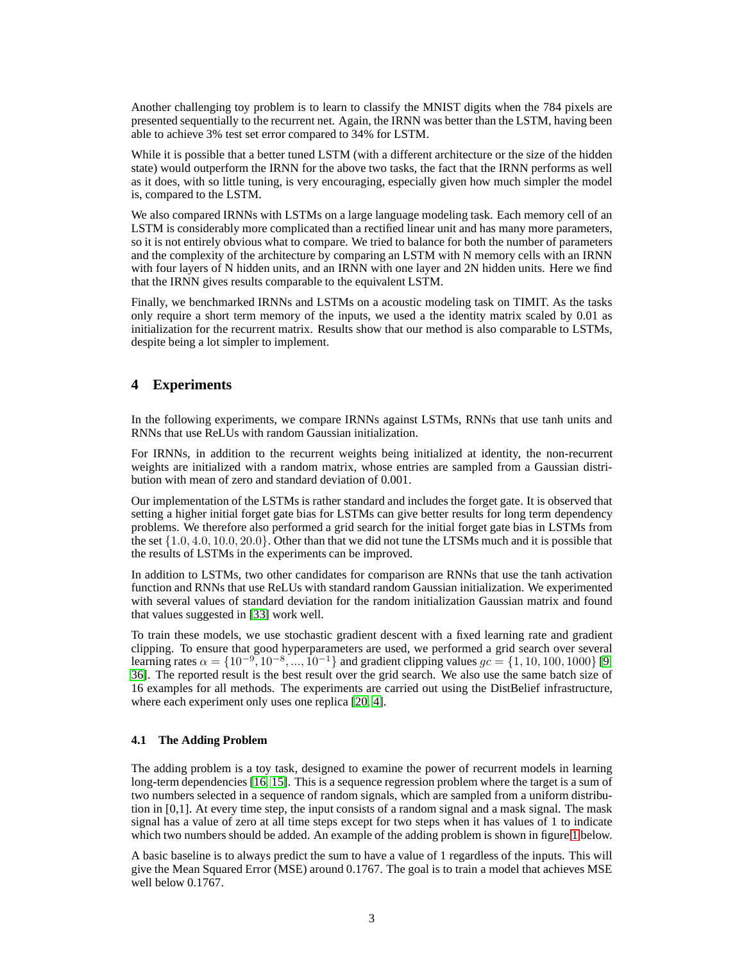Another challenging toy problem is to learn to classify the MNIST digits when the 784 pixels are presented sequentially to the recurrent net. Again, the IRNN was better than the LSTM, having been able to achieve 3% test set error compared to 34% for LSTM.

While it is possible that a better tuned LSTM (with a different architecture or the size of the hidden state) would outperform the IRNN for the above two tasks, the fact that the IRNN performs as well as it does, with so little tuning, is very encouraging, especially given how much simpler the model is, compared to the LSTM.

We also compared IRNNs with LSTMs on a large language modeling task. Each memory cell of an LSTM is considerably more complicated than a rectified linear unit and has many more parameters, so it is not entirely obvious what to compare. We tried to balance for both the number of parameters and the complexity of the architecture by comparing an LSTM with N memory cells with an IRNN with four layers of N hidden units, and an IRNN with one layer and 2N hidden units. Here we find that the IRNN gives results comparable to the equivalent LSTM.

Finally, we benchmarked IRNNs and LSTMs on a acoustic modeling task on TIMIT. As the tasks only require a short term memory of the inputs, we used a the identity matrix scaled by 0.01 as initialization for the recurrent matrix. Results show that our method is also comparable to LSTMs, despite being a lot simpler to implement.

# **4 Experiments**

In the following experiments, we compare IRNNs against LSTMs, RNNs that use tanh units and RNNs that use ReLUs with random Gaussian initialization.

For IRNNs, in addition to the recurrent weights being initialized at identity, the non-recurrent weights are initialized with a random matrix, whose entries are sampled from a Gaussian distribution with mean of zero and standard deviation of 0.001.

Our implementation of the LSTMs is rather standard and includes the forget gate. It is observed that setting a higher initial forget gate bias for LSTMs can give better results for long term dependency problems. We therefore also performed a grid search for the initial forget gate bias in LSTMs from the set  $\{1.0, 4.0, 10.0, 20.0\}$ . Other than that we did not tune the LTSMs much and it is possible that the results of LSTMs in the experiments can be improved.

In addition to LSTMs, two other candidates for comparison are RNNs that use the tanh activation function and RNNs that use ReLUs with standard random Gaussian initialization. We experimented with several values of standard deviation for the random initialization Gaussian matrix and found that values suggested in [\[33\]](#page-7-18) work well.

To train these models, we use stochastic gradient descent with a fixed learning rate and gradient clipping. To ensure that good hyperparameters are used, we performed a grid search over several learning rates  $\alpha = \{10^{-9}, 10^{-8}, ..., 10^{-1}\}\$  and gradient clipping values  $gc = \{1, 10, 100, 1000\}\$  [\[9,](#page-6-7) [36\]](#page-8-1). The reported result is the best result over the grid search. We also use the same batch size of 16 examples for all methods. The experiments are carried out using the DistBelief infrastructure, where each experiment only uses one replica [\[20,](#page-7-19) [4\]](#page-6-8).

#### **4.1 The Adding Problem**

The adding problem is a toy task, designed to examine the power of recurrent models in learning long-term dependencies [\[16,](#page-7-8) [15\]](#page-7-1). This is a sequence regression problem where the target is a sum of two numbers selected in a sequence of random signals, which are sampled from a uniform distribution in [0,1]. At every time step, the input consists of a random signal and a mask signal. The mask signal has a value of zero at all time steps except for two steps when it has values of 1 to indicate which two numbers should be added. An example of the adding problem is shown in figure [1](#page-3-0) below.

A basic baseline is to always predict the sum to have a value of 1 regardless of the inputs. This will give the Mean Squared Error (MSE) around 0.1767. The goal is to train a model that achieves MSE well below  $0.1767$ .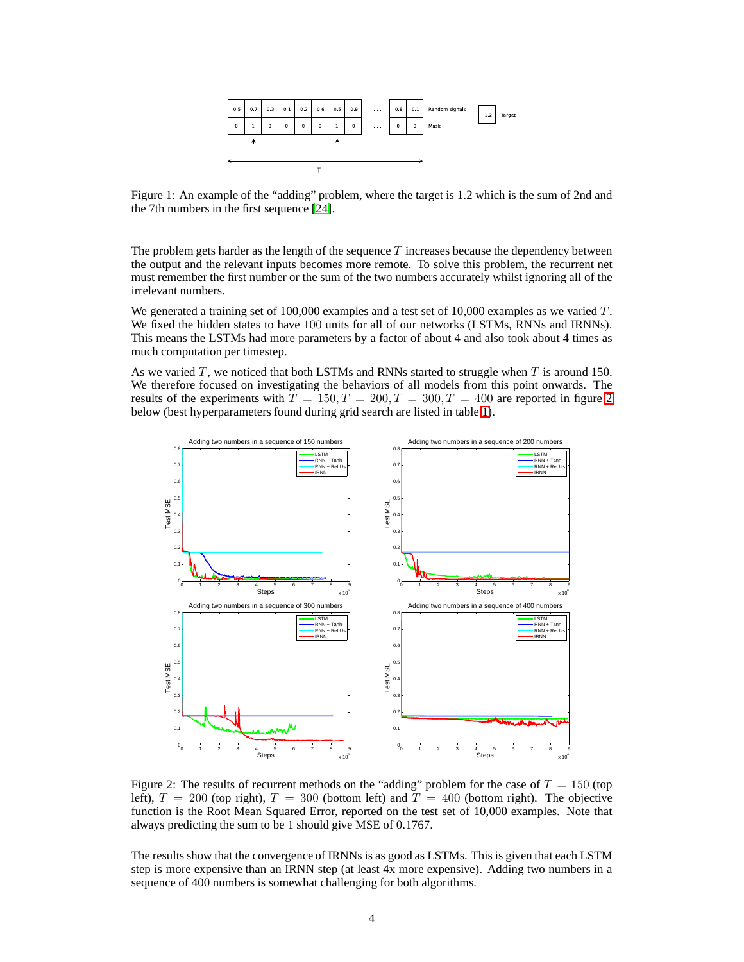

<span id="page-3-0"></span>Figure 1: An example of the "adding" problem, where the target is 1.2 which is the sum of 2nd and the 7th numbers in the first sequence [\[24\]](#page-7-3).

The problem gets harder as the length of the sequence  $T$  increases because the dependency between the output and the relevant inputs becomes more remote. To solve this problem, the recurrent net must remember the first number or the sum of the two numbers accurately whilst ignoring all of the irrelevant numbers.

We generated a training set of 100,000 examples and a test set of 10,000 examples as we varied  $T$ . We fixed the hidden states to have 100 units for all of our networks (LSTMs, RNNs and IRNNs). This means the LSTMs had more parameters by a factor of about 4 and also took about 4 times as much computation per timestep.

As we varied  $T$ , we noticed that both LSTMs and RNNs started to struggle when  $T$  is around 150. We therefore focused on investigating the behaviors of all models from this point onwards. The results of the experiments with  $T = 150, T = 200, T = 300, T = 400$  $T = 150, T = 200, T = 300, T = 400$  $T = 150, T = 200, T = 300, T = 400$  are reported in figure 2 below (best hyperparameters found during grid search are listed in table [1\)](#page-4-0).



<span id="page-3-1"></span>Figure 2: The results of recurrent methods on the "adding" problem for the case of  $T = 150$  (top left),  $T = 200$  (top right),  $T = 300$  (bottom left) and  $T = 400$  (bottom right). The objective function is the Root Mean Squared Error, reported on the test set of 10,000 examples. Note that always predicting the sum to be 1 should give MSE of 0.1767.

The results show that the convergence of IRNNs is as good as LSTMs. This is given that each LSTM step is more expensive than an IRNN step (at least 4x more expensive). Adding two numbers in a sequence of 400 numbers is somewhat challenging for both algorithms.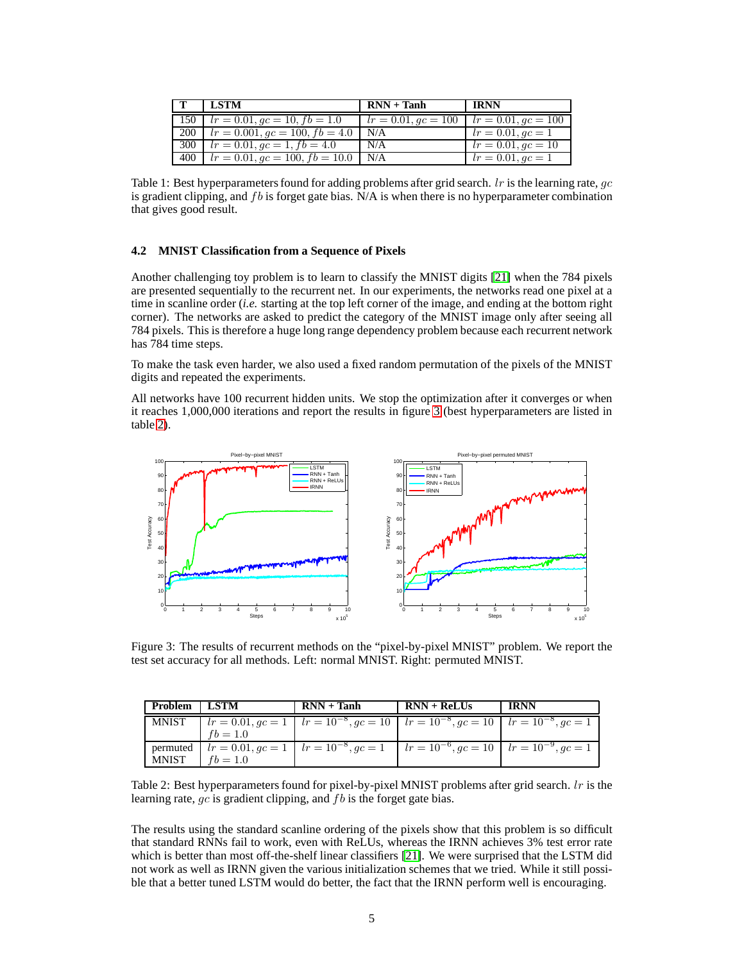| - LSTM                                       | $RNN + Tanh$          | <b>IRNN</b>           |
|----------------------------------------------|-----------------------|-----------------------|
| 150 $lr = 0.01, qc = 10, fb = 1.0$           | $lr = 0.01, qc = 100$ | $lr = 0.01, qc = 100$ |
| 200   $lr = 0.001, qc = 100, fb = 4.0$   N/A |                       | $lr = 0.01, qc = 1$   |
| 300   $lr = 0.01, qc = 1, fb = 4.0$          | N/A                   | $l = 0.01, qc = 10$   |
| 400   $lr = 0.01, gc = 100, fb = 10.0$   N/A |                       | $lr = 0.01, qc = 1$   |

<span id="page-4-0"></span>Table 1: Best hyperparameters found for adding problems after grid search.  $lr$  is the learning rate,  $qc$ is gradient clipping, and fb is forget gate bias.  $N/A$  is when there is no hyperparameter combination that gives good result.

#### **4.2 MNIST Classification from a Sequence of Pixels**

Another challenging toy problem is to learn to classify the MNIST digits [\[21\]](#page-7-20) when the 784 pixels are presented sequentially to the recurrent net. In our experiments, the networks read one pixel at a time in scanline order (*i.e.* starting at the top left corner of the image, and ending at the bottom right corner). The networks are asked to predict the category of the MNIST image only after seeing all 784 pixels. This is therefore a huge long range dependency problem because each recurrent network has 784 time steps.

To make the task even harder, we also used a fixed random permutation of the pixels of the MNIST digits and repeated the experiments.

All networks have 100 recurrent hidden units. We stop the optimization after it converges or when it reaches 1,000,000 iterations and report the results in figure [3](#page-4-1) (best hyperparameters are listed in table [2\)](#page-4-2).



<span id="page-4-1"></span>Figure 3: The results of recurrent methods on the "pixel-by-pixel MNIST" problem. We report the test set accuracy for all methods. Left: normal MNIST. Right: permuted MNIST.

| Problem   LSTM |            | $RNN + Tanh$ | $RNN + ReLUs$                                                                                                                     | <b>IRNN</b> |
|----------------|------------|--------------|-----------------------------------------------------------------------------------------------------------------------------------|-------------|
|                |            |              | MNIST $lr = 0.01, gc = 1   lr = 10^{-8}, gc = 10   lr = 10^{-8}, gc = 10   lr = 10^{-8}, gc = 1$                                  |             |
|                | $fb = 1.0$ |              |                                                                                                                                   |             |
|                |            |              | permuted $\mid lr = 0.01, gc = 1 \mid lr = 10^{-8}, gc = 1 \mid lr = 10^{-6}, gc = 10 \mid lr = 10^{-9}, gc = 1 \mid r = 10^{-9}$ |             |
| MNIST          | $fb = 1.0$ |              |                                                                                                                                   |             |

<span id="page-4-2"></span>Table 2: Best hyperparameters found for pixel-by-pixel MNIST problems after grid search.  $lr$  is the learning rate,  $qc$  is gradient clipping, and  $fb$  is the forget gate bias.

The results using the standard scanline ordering of the pixels show that this problem is so difficult that standard RNNs fail to work, even with ReLUs, whereas the IRNN achieves 3% test error rate which is better than most off-the-shelf linear classifiers [\[21\]](#page-7-20). We were surprised that the LSTM did not work as well as IRNN given the various initialization schemes that we tried. While it still possible that a better tuned LSTM would do better, the fact that the IRNN perform well is encouraging.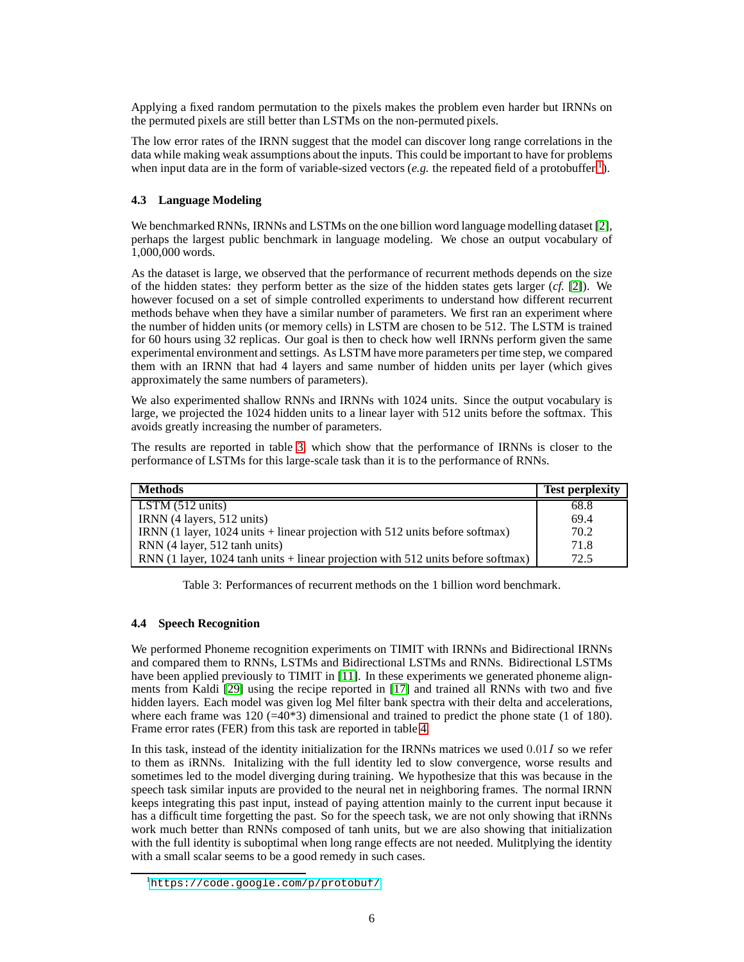Applying a fixed random permutation to the pixels makes the problem even harder but IRNNs on the permuted pixels are still better than LSTMs on the non-permuted pixels.

The low error rates of the IRNN suggest that the model can discover long range correlations in the data while making weak assumptions about the inputs. This could be important to have for problems when input data are in the form of variable-sized vectors (*e.g.* the repeated field of a protobuffer  $\frac{1}{1}$  $\frac{1}{1}$  $\frac{1}{1}$ ).

### **4.3 Language Modeling**

We benchmarked RNNs, IRNNs and LSTMs on the one billion word language modelling dataset [\[2\]](#page-6-9), perhaps the largest public benchmark in language modeling. We chose an output vocabulary of 1,000,000 words.

As the dataset is large, we observed that the performance of recurrent methods depends on the size of the hidden states: they perform better as the size of the hidden states gets larger (*cf.* [\[2\]](#page-6-9)). We however focused on a set of simple controlled experiments to understand how different recurrent methods behave when they have a similar number of parameters. We first ran an experiment where the number of hidden units (or memory cells) in LSTM are chosen to be 512. The LSTM is trained for 60 hours using 32 replicas. Our goal is then to check how well IRNNs perform given the same experimental environment and settings. As LSTM have more parameters per time step, we compared them with an IRNN that had 4 layers and same number of hidden units per layer (which gives approximately the same numbers of parameters).

We also experimented shallow RNNs and IRNNs with 1024 units. Since the output vocabulary is large, we projected the 1024 hidden units to a linear layer with 512 units before the softmax. This avoids greatly increasing the number of parameters.

The results are reported in table [3,](#page-5-1) which show that the performance of IRNNs is closer to the performance of LSTMs for this large-scale task than it is to the performance of RNNs.

| Methods                                                                              | <b>Test perplexity</b> |
|--------------------------------------------------------------------------------------|------------------------|
| $\vert$ LSTM (512 units)                                                             | 68.8                   |
| IRNN (4 layers, 512 units)                                                           | 69.4                   |
| IRNN (1 layer, $1024$ units + linear projection with $512$ units before softmax)     | 70.2                   |
| RNN (4 layer, 512 tanh units)                                                        | 71.8                   |
| RNN (1 layer, $1024$ tanh units + linear projection with $512$ units before softmax) | 72.5                   |

<span id="page-5-1"></span>Table 3: Performances of recurrent methods on the 1 billion word benchmark.

#### **4.4 Speech Recognition**

We performed Phoneme recognition experiments on TIMIT with IRNNs and Bidirectional IRNNs and compared them to RNNs, LSTMs and Bidirectional LSTMs and RNNs. Bidirectional LSTMs have been applied previously to TIMIT in [\[11\]](#page-6-10). In these experiments we generated phoneme alignments from Kaldi [\[29\]](#page-7-21) using the recipe reported in [\[17\]](#page-7-22) and trained all RNNs with two and five hidden layers. Each model was given log Mel filter bank spectra with their delta and accelerations, where each frame was  $120$  (=40\*3) dimensional and trained to predict the phone state (1 of 180). Frame error rates (FER) from this task are reported in table [4.](#page-6-11)

In this task, instead of the identity initialization for the IRNNs matrices we used  $0.01I$  so we refer to them as iRNNs. Initalizing with the full identity led to slow convergence, worse results and sometimes led to the model diverging during training. We hypothesize that this was because in the speech task similar inputs are provided to the neural net in neighboring frames. The normal IRNN keeps integrating this past input, instead of paying attention mainly to the current input because it has a difficult time forgetting the past. So for the speech task, we are not only showing that iRNNs work much better than RNNs composed of tanh units, but we are also showing that initialization with the full identity is suboptimal when long range effects are not needed. Mulitplying the identity with a small scalar seems to be a good remedy in such cases.

<span id="page-5-0"></span><sup>1</sup><https://code.google.com/p/protobuf/>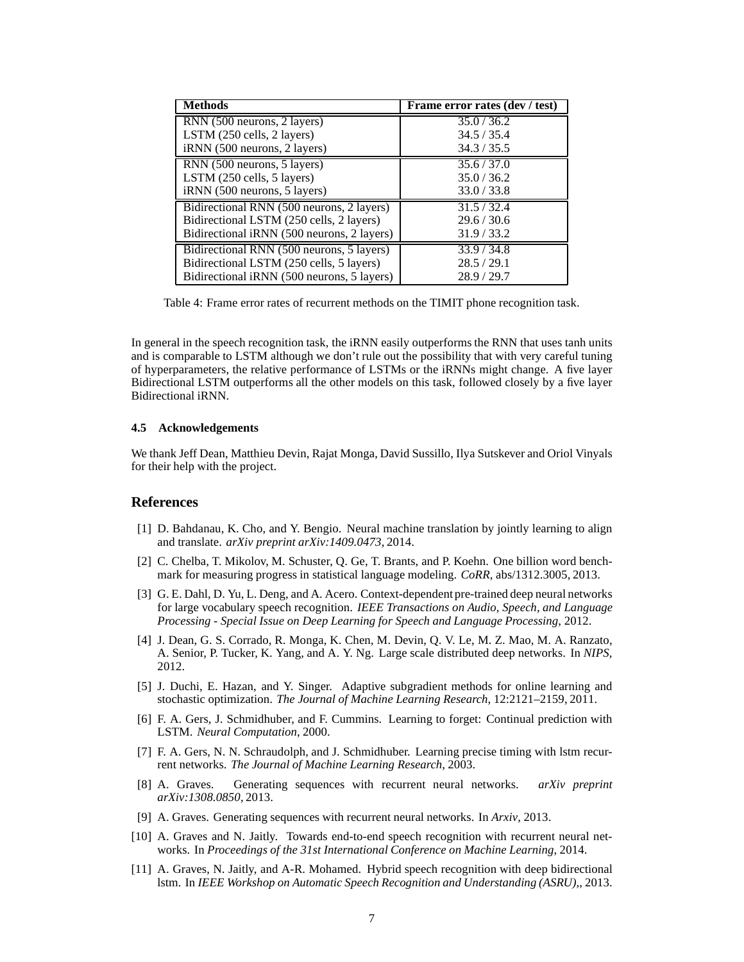| <b>Methods</b>                             | Frame error rates (dev / test) |
|--------------------------------------------|--------------------------------|
| RNN (500 neurons, 2 layers)                | 35.0 / 36.2                    |
| LSTM (250 cells, 2 layers)                 | 34.5 / 35.4                    |
| iRNN (500 neurons, 2 layers)               | 34.3 / 35.5                    |
| RNN (500 neurons, 5 layers)                | 35.6 / 37.0                    |
| LSTM (250 cells, 5 layers)                 | 35.0 / 36.2                    |
| iRNN (500 neurons, 5 layers)               | 33.0 / 33.8                    |
| Bidirectional RNN (500 neurons, 2 layers)  | 31.5/32.4                      |
| Bidirectional LSTM (250 cells, 2 layers)   | 29.6 / 30.6                    |
| Bidirectional iRNN (500 neurons, 2 layers) | 31.9/33.2                      |
| Bidirectional RNN (500 neurons, 5 layers)  | 33.9 / 34.8                    |
| Bidirectional LSTM (250 cells, 5 layers)   | 28.5/29.1                      |
| Bidirectional iRNN (500 neurons, 5 layers) | 28.9/29.7                      |

<span id="page-6-11"></span>Table 4: Frame error rates of recurrent methods on the TIMIT phone recognition task.

In general in the speech recognition task, the iRNN easily outperforms the RNN that uses tanh units and is comparable to LSTM although we don't rule out the possibility that with very careful tuning of hyperparameters, the relative performance of LSTMs or the iRNNs might change. A five layer Bidirectional LSTM outperforms all the other models on this task, followed closely by a five layer Bidirectional iRNN.

#### **4.5 Acknowledgements**

We thank Jeff Dean, Matthieu Devin, Rajat Monga, David Sussillo, Ilya Sutskever and Oriol Vinyals for their help with the project.

#### <span id="page-6-3"></span>**References**

- [1] D. Bahdanau, K. Cho, and Y. Bengio. Neural machine translation by jointly learning to align and translate. *arXiv preprint arXiv:1409.0473*, 2014.
- <span id="page-6-9"></span>[2] C. Chelba, T. Mikolov, M. Schuster, Q. Ge, T. Brants, and P. Koehn. One billion word benchmark for measuring progress in statistical language modeling. *CoRR*, abs/1312.3005, 2013.
- <span id="page-6-6"></span>[3] G. E. Dahl, D. Yu, L. Deng, and A. Acero. Context-dependent pre-trained deep neural networks for large vocabulary speech recognition. *IEEE Transactions on Audio, Speech, and Language Processing - Special Issue on Deep Learning for Speech and Language Processing*, 2012.
- <span id="page-6-8"></span>[4] J. Dean, G. S. Corrado, R. Monga, K. Chen, M. Devin, Q. V. Le, M. Z. Mao, M. A. Ranzato, A. Senior, P. Tucker, K. Yang, and A. Y. Ng. Large scale distributed deep networks. In *NIPS*, 2012.
- <span id="page-6-0"></span>[5] J. Duchi, E. Hazan, and Y. Singer. Adaptive subgradient methods for online learning and stochastic optimization. *The Journal of Machine Learning Research*, 12:2121–2159, 2011.
- <span id="page-6-4"></span>[6] F. A. Gers, J. Schmidhuber, and F. Cummins. Learning to forget: Continual prediction with LSTM. *Neural Computation*, 2000.
- <span id="page-6-5"></span>[7] F. A. Gers, N. N. Schraudolph, and J. Schmidhuber. Learning precise timing with lstm recurrent networks. *The Journal of Machine Learning Research*, 2003.
- <span id="page-6-2"></span>[8] A. Graves. Generating sequences with recurrent neural networks. *arXiv preprint arXiv:1308.0850*, 2013.
- <span id="page-6-7"></span><span id="page-6-1"></span>[9] A. Graves. Generating sequences with recurrent neural networks. In *Arxiv*, 2013.
- [10] A. Graves and N. Jaitly. Towards end-to-end speech recognition with recurrent neural networks. In *Proceedings of the 31st International Conference on Machine Learning*, 2014.
- <span id="page-6-10"></span>[11] A. Graves, N. Jaitly, and A-R. Mohamed. Hybrid speech recognition with deep bidirectional lstm. In *IEEE Workshop on Automatic Speech Recognition and Understanding (ASRU),*, 2013.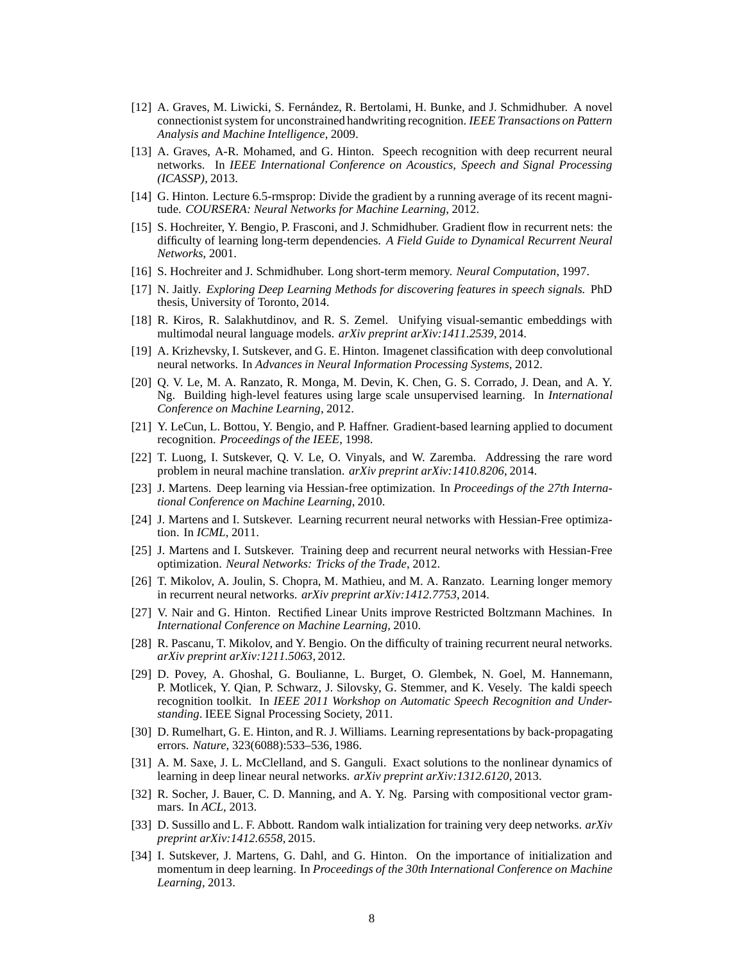- <span id="page-7-9"></span>[12] A. Graves, M. Liwicki, S. Fernández, R. Bertolami, H. Bunke, and J. Schmidhuber. A novel connectionist system for unconstrained handwriting recognition. *IEEE Transactions on Pattern Analysis and Machine Intelligence*, 2009.
- <span id="page-7-10"></span>[13] A. Graves, A-R. Mohamed, and G. Hinton. Speech recognition with deep recurrent neural networks. In *IEEE International Conference on Acoustics, Speech and Signal Processing (ICASSP)*, 2013.
- <span id="page-7-7"></span>[14] G. Hinton. Lecture 6.5-rmsprop: Divide the gradient by a running average of its recent magnitude. *COURSERA: Neural Networks for Machine Learning*, 2012.
- <span id="page-7-1"></span>[15] S. Hochreiter, Y. Bengio, P. Frasconi, and J. Schmidhuber. Gradient flow in recurrent nets: the difficulty of learning long-term dependencies. *A Field Guide to Dynamical Recurrent Neural Networks*, 2001.
- <span id="page-7-22"></span><span id="page-7-8"></span>[16] S. Hochreiter and J. Schmidhuber. Long short-term memory. *Neural Computation*, 1997.
- [17] N. Jaitly. *Exploring Deep Learning Methods for discovering features in speech signals.* PhD thesis, University of Toronto, 2014.
- <span id="page-7-12"></span>[18] R. Kiros, R. Salakhutdinov, and R. S. Zemel. Unifying visual-semantic embeddings with multimodal neural language models. *arXiv preprint arXiv:1411.2539*, 2014.
- <span id="page-7-13"></span>[19] A. Krizhevsky, I. Sutskever, and G. E. Hinton. Imagenet classification with deep convolutional neural networks. In *Advances in Neural Information Processing Systems*, 2012.
- <span id="page-7-19"></span>[20] Q. V. Le, M. A. Ranzato, R. Monga, M. Devin, K. Chen, G. S. Corrado, J. Dean, and A. Y. Ng. Building high-level features using large scale unsupervised learning. In *International Conference on Machine Learning*, 2012.
- <span id="page-7-20"></span>[21] Y. LeCun, L. Bottou, Y. Bengio, and P. Haffner. Gradient-based learning applied to document recognition. *Proceedings of the IEEE*, 1998.
- <span id="page-7-11"></span>[22] T. Luong, I. Sutskever, Q. V. Le, O. Vinyals, and W. Zaremba. Addressing the rare word problem in neural machine translation. *arXiv preprint arXiv:1410.8206*, 2014.
- <span id="page-7-2"></span>[23] J. Martens. Deep learning via Hessian-free optimization. In *Proceedings of the 27th International Conference on Machine Learning*, 2010.
- <span id="page-7-3"></span>[24] J. Martens and I. Sutskever. Learning recurrent neural networks with Hessian-Free optimization. In *ICML*, 2011.
- <span id="page-7-6"></span>[25] J. Martens and I. Sutskever. Training deep and recurrent neural networks with Hessian-Free optimization. *Neural Networks: Tricks of the Trade*, 2012.
- <span id="page-7-15"></span>[26] T. Mikolov, A. Joulin, S. Chopra, M. Mathieu, and M. A. Ranzato. Learning longer memory in recurrent neural networks. *arXiv preprint arXiv:1412.7753*, 2014.
- <span id="page-7-14"></span>[27] V. Nair and G. Hinton. Rectified Linear Units improve Restricted Boltzmann Machines. In *International Conference on Machine Learning*, 2010.
- <span id="page-7-5"></span>[28] R. Pascanu, T. Mikolov, and Y. Bengio. On the difficulty of training recurrent neural networks. *arXiv preprint arXiv:1211.5063*, 2012.
- <span id="page-7-21"></span>[29] D. Povey, A. Ghoshal, G. Boulianne, L. Burget, O. Glembek, N. Goel, M. Hannemann, P. Motlicek, Y. Qian, P. Schwarz, J. Silovsky, G. Stemmer, and K. Vesely. The kaldi speech recognition toolkit. In *IEEE 2011 Workshop on Automatic Speech Recognition and Understanding*. IEEE Signal Processing Society, 2011.
- <span id="page-7-0"></span>[30] D. Rumelhart, G. E. Hinton, and R. J. Williams. Learning representations by back-propagating errors. *Nature*, 323(6088):533–536, 1986.
- <span id="page-7-17"></span>[31] A. M. Saxe, J. L. McClelland, and S. Ganguli. Exact solutions to the nonlinear dynamics of learning in deep linear neural networks. *arXiv preprint arXiv:1312.6120*, 2013.
- <span id="page-7-16"></span>[32] R. Socher, J. Bauer, C. D. Manning, and A. Y. Ng. Parsing with compositional vector grammars. In *ACL*, 2013.
- <span id="page-7-18"></span>[33] D. Sussillo and L. F. Abbott. Random walk intialization for training very deep networks. *arXiv preprint arXiv:1412.6558*, 2015.
- <span id="page-7-4"></span>[34] I. Sutskever, J. Martens, G. Dahl, and G. Hinton. On the importance of initialization and momentum in deep learning. In *Proceedings of the 30th International Conference on Machine Learning*, 2013.